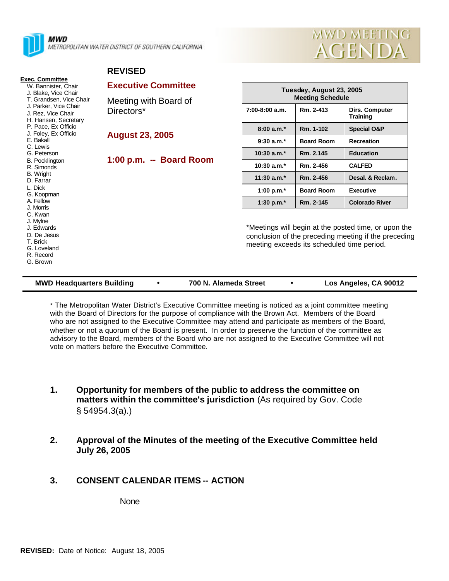

**Exec. Committee** W. Bannister, Chair J. Blake, Vice Chair T. Grandsen, Vice Chair J. Parker, Vice Chair J. Rez, Vice Chair H. Hansen, Secretary P. Pace, Ex Officio J. Foley, Ex Officio

E. Bakall C. Lewis G. Peterson B. Pocklington R. Simonds B. Wright D. Farrar L. Dick G. Koopman A. Fellow J. Morris C. Kwan J. Mylne J. Edwards D. De Jesus T. Brick G. Loveland R. Record G. Brown

MWD METROPOLITAN WATER DISTRICT OF SOUTHERN CALIFORNIA



# **REVISED**

#### **Executive Committee**

Meeting with Board of Directors\*

**August 23, 2005**

# **1:00 p.m. -- Board Room**

| Tuesday, August 23, 2005<br><b>Meeting Schedule</b> |                   |                                   |
|-----------------------------------------------------|-------------------|-----------------------------------|
| 7:00-8:00 a.m.                                      | Rm. 2-413         | Dirs. Computer<br><b>Training</b> |
| $8:00a.m.*$                                         | Rm. 1-102         | <b>Special O&amp;P</b>            |
| $9:30 a.m.*$                                        | <b>Board Room</b> | Recreation                        |
| $10:30$ a.m. $*$                                    | Rm. 2.145         | <b>Education</b>                  |
| $10:30$ a.m.*                                       | Rm. 2-456         | <b>CALFED</b>                     |
| $11:30$ a.m. $*$                                    | Rm. 2-456         | Desal. & Reclam.                  |
| 1:00 p.m. $*$                                       | <b>Board Room</b> | <b>Executive</b>                  |
| 1:30 p.m. $*$                                       | Rm. 2-145         | <b>Colorado River</b>             |

\*Meetings will begin at the posted time, or upon the conclusion of the preceding meeting if the preceding meeting exceeds its scheduled time period.

#### **MWD Headquarters Building**  $\bullet$  **700 N. Alameda Street**  $\bullet$  Los Angeles, CA 90012

\* The Metropolitan Water District's Executive Committee meeting is noticed as a joint committee meeting with the Board of Directors for the purpose of compliance with the Brown Act. Members of the Board who are not assigned to the Executive Committee may attend and participate as members of the Board, whether or not a quorum of the Board is present. In order to preserve the function of the committee as advisory to the Board, members of the Board who are not assigned to the Executive Committee will not vote on matters before the Executive Committee.

- **1. Opportunity for members of the public to address the committee on matters within the committee's jurisdiction** (As required by Gov. Code § 54954.3(a).)
- **2. Approval of the Minutes of the meeting of the Executive Committee held July 26, 2005**

# **3. CONSENT CALENDAR ITEMS -- ACTION**

None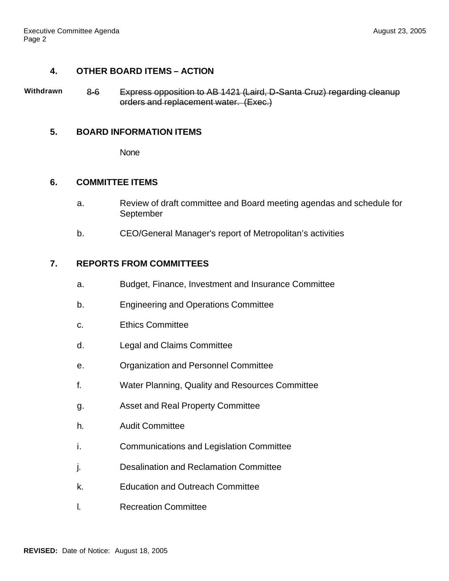# **4. OTHER BOARD ITEMS – ACTION**

**Withdrawn** 8-6 Express opposition to AB 1421 (Laird, D-Santa Cruz) regarding cleanup orders and replacement water. (Exec.)

## **5. BOARD INFORMATION ITEMS**

**None** 

## **6. COMMITTEE ITEMS**

- a. Review of draft committee and Board meeting agendas and schedule for September
- b. CEO/General Manager's report of Metropolitan's activities

### **7. REPORTS FROM COMMITTEES**

- a. Budget, Finance, Investment and Insurance Committee
- b. Engineering and Operations Committee
- c. Ethics Committee
- d. Legal and Claims Committee
- e. Organization and Personnel Committee
- f. Water Planning, Quality and Resources Committee
- g. Asset and Real Property Committee
- h. Audit Committee
- i. Communications and Legislation Committee
- j. Desalination and Reclamation Committee
- k. Education and Outreach Committee
- l. Recreation Committee